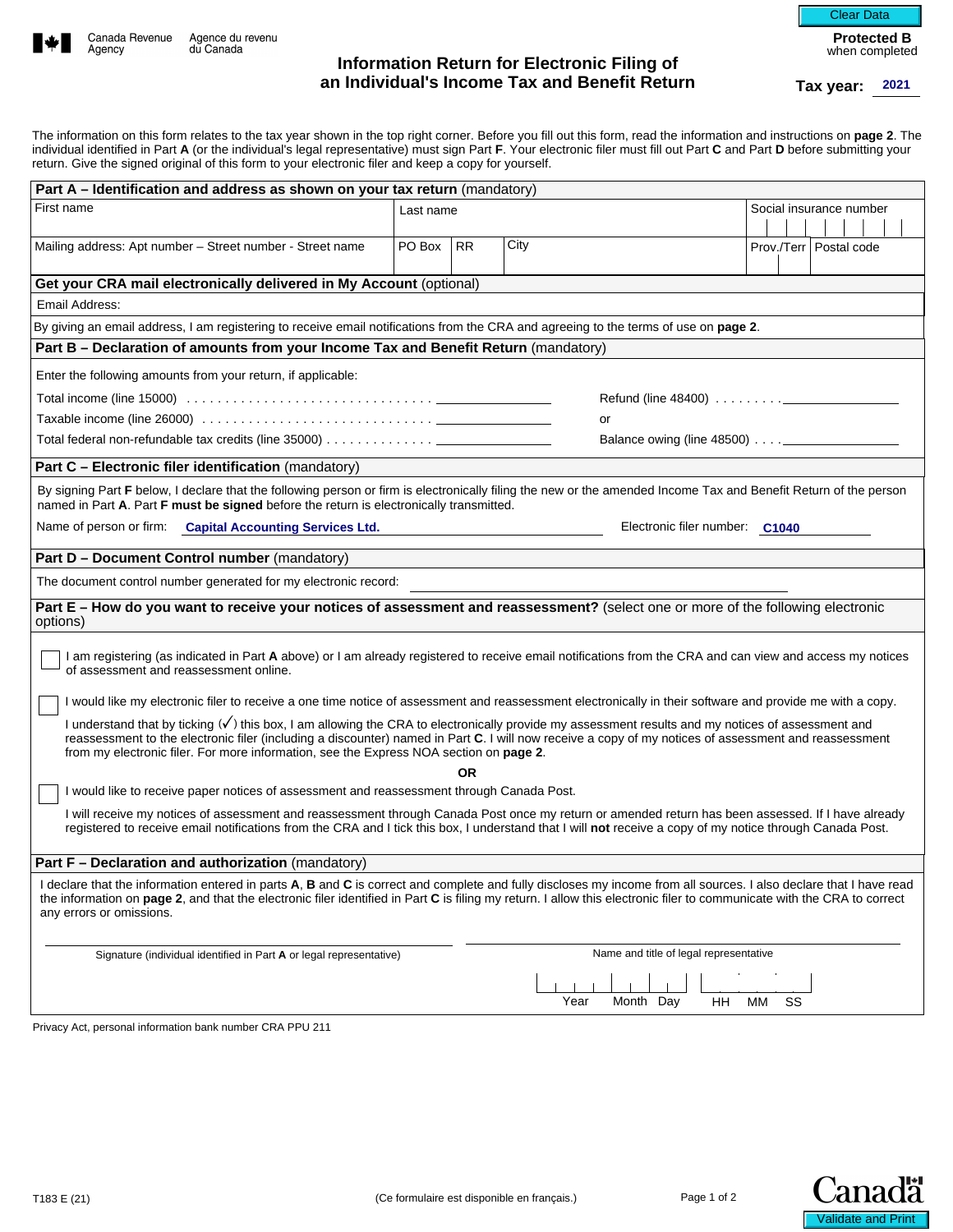

# **Information Return for Electronic Filing of an Individual's Income Tax and Benefit Return Tax year:**

**Protected B**  when completed Clear Data

|                                                                                                                                                                                                                                                                                                                                                                                                                |                                        |           | an Individual's income Tax and Benefit Return |                                            |    |                         |  | Tax year:                 | 2021 |  |
|----------------------------------------------------------------------------------------------------------------------------------------------------------------------------------------------------------------------------------------------------------------------------------------------------------------------------------------------------------------------------------------------------------------|----------------------------------------|-----------|-----------------------------------------------|--------------------------------------------|----|-------------------------|--|---------------------------|------|--|
| The information on this form relates to the tax year shown in the top right corner. Before you fill out this form, read the information and instructions on page 2. The                                                                                                                                                                                                                                        |                                        |           |                                               |                                            |    |                         |  |                           |      |  |
| individual identified in Part A (or the individual's legal representative) must sign Part F. Your electronic filer must fill out Part C and Part D before submitting your<br>return. Give the signed original of this form to your electronic filer and keep a copy for yourself.                                                                                                                              |                                        |           |                                               |                                            |    |                         |  |                           |      |  |
| Part A - Identification and address as shown on your tax return (mandatory)                                                                                                                                                                                                                                                                                                                                    |                                        |           |                                               |                                            |    |                         |  |                           |      |  |
| First name                                                                                                                                                                                                                                                                                                                                                                                                     | Last name                              |           |                                               |                                            |    | Social insurance number |  |                           |      |  |
|                                                                                                                                                                                                                                                                                                                                                                                                                | PO Box                                 |           |                                               |                                            |    |                         |  |                           |      |  |
| Mailing address: Apt number - Street number - Street name                                                                                                                                                                                                                                                                                                                                                      |                                        | <b>RR</b> | City                                          |                                            |    |                         |  | Prov./Terr   Postal code  |      |  |
| Get your CRA mail electronically delivered in My Account (optional)                                                                                                                                                                                                                                                                                                                                            |                                        |           |                                               |                                            |    |                         |  |                           |      |  |
| Fmail Address:                                                                                                                                                                                                                                                                                                                                                                                                 |                                        |           |                                               |                                            |    |                         |  |                           |      |  |
| By giving an email address, I am registering to receive email notifications from the CRA and agreeing to the terms of use on page 2.                                                                                                                                                                                                                                                                           |                                        |           |                                               |                                            |    |                         |  |                           |      |  |
| Part B - Declaration of amounts from your Income Tax and Benefit Return (mandatory)                                                                                                                                                                                                                                                                                                                            |                                        |           |                                               |                                            |    |                         |  |                           |      |  |
| Enter the following amounts from your return, if applicable:                                                                                                                                                                                                                                                                                                                                                   |                                        |           |                                               |                                            |    |                         |  |                           |      |  |
|                                                                                                                                                                                                                                                                                                                                                                                                                |                                        |           |                                               | Refund (line $48400$ ) $\ldots$ , $\ldots$ |    |                         |  |                           |      |  |
| Taxable income (line 26000) $\ldots \ldots \ldots \ldots \ldots \ldots \ldots \ldots \ldots \ldots \ldots$                                                                                                                                                                                                                                                                                                     |                                        |           | or                                            |                                            |    |                         |  |                           |      |  |
| Total federal non-refundable tax credits (line 35000) $\dots\dots\dots\dots\dots$                                                                                                                                                                                                                                                                                                                              |                                        |           |                                               |                                            |    |                         |  |                           |      |  |
| Part C - Electronic filer identification (mandatory)                                                                                                                                                                                                                                                                                                                                                           |                                        |           |                                               |                                            |    |                         |  |                           |      |  |
| By signing Part F below, I declare that the following person or firm is electronically filing the new or the amended Income Tax and Benefit Return of the person<br>named in Part A. Part F must be signed before the return is electronically transmitted.                                                                                                                                                    |                                        |           |                                               |                                            |    |                         |  |                           |      |  |
| Name of person or firm: Capital Accounting Services Ltd.                                                                                                                                                                                                                                                                                                                                                       |                                        |           |                                               | Electronic filer number: C1040             |    |                         |  |                           |      |  |
| Part D - Document Control number (mandatory)                                                                                                                                                                                                                                                                                                                                                                   |                                        |           |                                               |                                            |    |                         |  |                           |      |  |
| The document control number generated for my electronic record:                                                                                                                                                                                                                                                                                                                                                |                                        |           |                                               |                                            |    |                         |  |                           |      |  |
| Part E - How do you want to receive your notices of assessment and reassessment? (select one or more of the following electronic<br>options)                                                                                                                                                                                                                                                                   |                                        |           |                                               |                                            |    |                         |  |                           |      |  |
| I am registering (as indicated in Part A above) or I am already registered to receive email notifications from the CRA and can view and access my notices<br>of assessment and reassessment online.                                                                                                                                                                                                            |                                        |           |                                               |                                            |    |                         |  |                           |      |  |
| I would like my electronic filer to receive a one time notice of assessment and reassessment electronically in their software and provide me with a copy.                                                                                                                                                                                                                                                      |                                        |           |                                               |                                            |    |                         |  |                           |      |  |
| I understand that by ticking ( $\sqrt{}$ ) this box, I am allowing the CRA to electronically provide my assessment results and my notices of assessment and<br>reassessment to the electronic filer (including a discounter) named in Part C. I will now receive a copy of my notices of assessment and reassessment<br>from my electronic filer. For more information, see the Express NOA section on page 2. |                                        |           |                                               |                                            |    |                         |  |                           |      |  |
| I would like to receive paper notices of assessment and reassessment through Canada Post.                                                                                                                                                                                                                                                                                                                      |                                        | <b>OR</b> |                                               |                                            |    |                         |  |                           |      |  |
| I will receive my notices of assessment and reassessment through Canada Post once my return or amended return has been assessed. If I have already                                                                                                                                                                                                                                                             |                                        |           |                                               |                                            |    |                         |  |                           |      |  |
| registered to receive email notifications from the CRA and I tick this box, I understand that I will not receive a copy of my notice through Canada Post.                                                                                                                                                                                                                                                      |                                        |           |                                               |                                            |    |                         |  |                           |      |  |
| <b>Part F – Declaration and authorization</b> (mandatory)                                                                                                                                                                                                                                                                                                                                                      |                                        |           |                                               |                                            |    |                         |  |                           |      |  |
| I declare that the information entered in parts A, B and C is correct and complete and fully discloses my income from all sources. I also declare that I have read<br>the information on page 2, and that the electronic filer identified in Part C is filing my return. I allow this electronic filer to communicate with the CRA to correct<br>any errors or omissions.                                      |                                        |           |                                               |                                            |    |                         |  |                           |      |  |
| Signature (individual identified in Part A or legal representative)                                                                                                                                                                                                                                                                                                                                            | Name and title of legal representative |           |                                               |                                            |    |                         |  |                           |      |  |
|                                                                                                                                                                                                                                                                                                                                                                                                                |                                        |           |                                               |                                            |    |                         |  |                           |      |  |
|                                                                                                                                                                                                                                                                                                                                                                                                                |                                        |           | Year                                          | Month Day<br>HH                            | MМ | SS                      |  |                           |      |  |
| Privacy Act, personal information bank number CRA PPU 211                                                                                                                                                                                                                                                                                                                                                      |                                        |           |                                               |                                            |    |                         |  |                           |      |  |
|                                                                                                                                                                                                                                                                                                                                                                                                                |                                        |           |                                               |                                            |    |                         |  |                           |      |  |
|                                                                                                                                                                                                                                                                                                                                                                                                                |                                        |           |                                               |                                            |    |                         |  |                           |      |  |
|                                                                                                                                                                                                                                                                                                                                                                                                                |                                        |           |                                               |                                            |    |                         |  |                           |      |  |
|                                                                                                                                                                                                                                                                                                                                                                                                                |                                        |           |                                               |                                            |    |                         |  |                           |      |  |
|                                                                                                                                                                                                                                                                                                                                                                                                                |                                        |           |                                               |                                            |    |                         |  |                           |      |  |
|                                                                                                                                                                                                                                                                                                                                                                                                                |                                        |           |                                               |                                            |    |                         |  |                           |      |  |
| T183 E (21)                                                                                                                                                                                                                                                                                                                                                                                                    |                                        |           | (Ce formulaire est disponible en français.)   | Page 1 of 2                                |    |                         |  |                           |      |  |
|                                                                                                                                                                                                                                                                                                                                                                                                                |                                        |           |                                               |                                            |    |                         |  | <b>Validate and Print</b> |      |  |